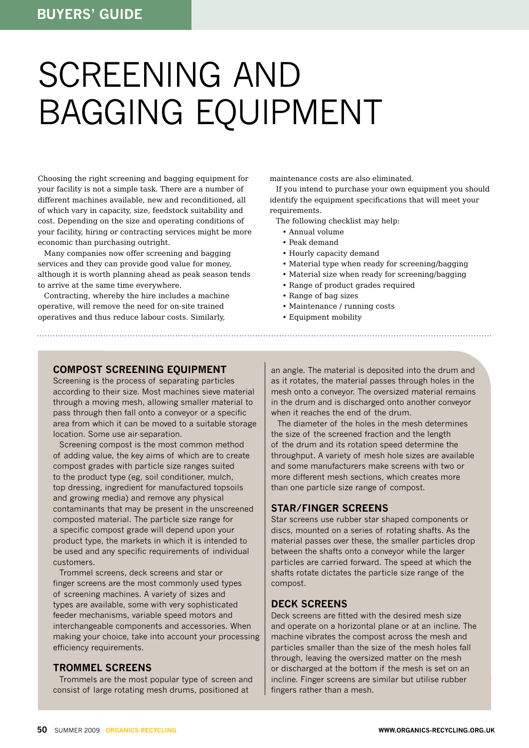# screening and bagging equipment

Choosing the right screening and bagging equipment for your facility is not a simple task. There are a number of different machines available, new and reconditioned, all of which vary in capacity, size, feedstock suitability and cost. Depending on the size and operating conditions of your facility, hiring or contracting services might be more economic than purchasing outright.

Many companies now offer screening and bagging services and they can provide good value for money, although it is worth planning ahead as peak season tends to arrive at the same time everywhere.

Contracting, whereby the hire includes a machine operative, will remove the need for on-site trained operatives and thus reduce labour costs. Similarly,

maintenance costs are also eliminated.

If you intend to purchase your own equipment you should identify the equipment specifications that will meet your requirements.

The following checklist may help:

- Annual volume
- Peak demand
- Hourly capacity demand
- Material type when ready for screening/bagging
- Material size when ready for screening/bagging
- Range of product grades required
- Range of bag sizes
- Maintenance / running costs
- Equipment mobility

#### **Compost screening equipment**

Screening is the process of separating particles according to their size. Most machines sieve material through a moving mesh, allowing smaller material to pass through then fall onto a conveyor or a specific area from which it can be moved to a suitable storage location. Some use air-separation.

Screening compost is the most common method of adding value, the key aims of which are to create compost grades with particle size ranges suited to the product type (eg, soil conditioner, mulch, top dressing, ingredient for manufactured topsoils and growing media) and remove any physical contaminants that may be present in the unscreened composted material. The particle size range for a specific compost grade will depend upon your product type, the markets in which it is intended to be used and any specific requirements of individual customers.

Trommel screens, deck screens and star or finger screens are the most commonly used types of screening machines. A variety of sizes and types are available, some with very sophisticated feeder mechanisms, variable speed motors and interchangeable components and accessories. When making your choice, take into account your processing efficiency requirements.

#### **Trommel screens**

Trommels are the most popular type of screen and consist of large rotating mesh drums, positioned at

an angle. The material is deposited into the drum and as it rotates, the material passes through holes in the mesh onto a conveyor. The oversized material remains in the drum and is discharged onto another conveyor when it reaches the end of the drum.

The diameter of the holes in the mesh determines the size of the screened fraction and the length of the drum and its rotation speed determine the throughput. A variety of mesh hole sizes are available and some manufacturers make screens with two or more different mesh sections, which creates more than one particle size range of compost.

#### **Star/finger screens**

Star screens use rubber star shaped components or discs, mounted on a series of rotating shafts. As the material passes over these, the smaller particles drop between the shafts onto a conveyor while the larger particles are carried forward. The speed at which the shafts rotate dictates the particle size range of the compost.

#### **Deck screens**

Deck screens are fitted with the desired mesh size and operate on a horizontal plane or at an incline. The machine vibrates the compost across the mesh and particles smaller than the size of the mesh holes fall through, leaving the oversized matter on the mesh or discharged at the bottom if the mesh is set on an incline. Finger screens are similar but utilise rubber fingers rather than a mesh.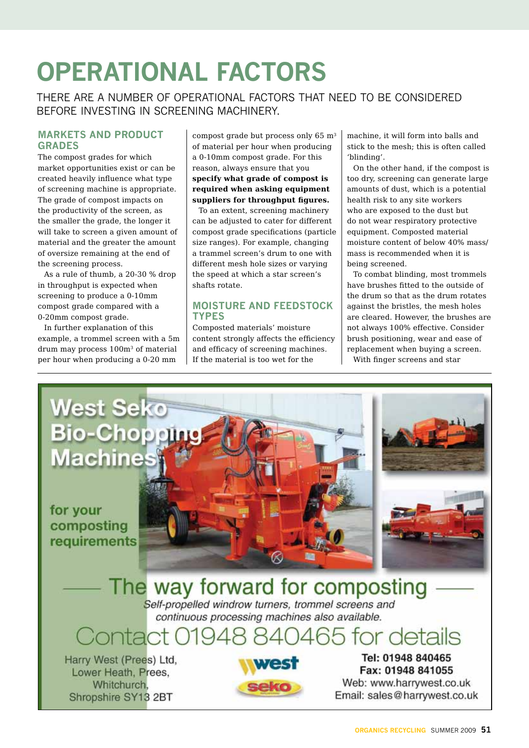# **Operational factors**

There are a number of operational factors that need to be considered before investing in screening machinery.

#### **Markets and product grades**

The compost grades for which market opportunities exist or can be created heavily influence what type of screening machine is appropriate. The grade of compost impacts on the productivity of the screen, as the smaller the grade, the longer it will take to screen a given amount of material and the greater the amount of oversize remaining at the end of the screening process.

As a rule of thumb, a 20-30 % drop in throughput is expected when screening to produce a 0-10mm compost grade compared with a 0-20mm compost grade.

In further explanation of this example, a trommel screen with a 5m drum may process 100m3 of material per hour when producing a 0-20 mm

compost grade but process only  $65 \text{ m}^3$ of material per hour when producing a 0-10mm compost grade. For this reason, always ensure that you **specify what grade of compost is required when asking equipment suppliers for throughput figures.**

To an extent, screening machinery can be adjusted to cater for different compost grade specifications (particle size ranges). For example, changing a trammel screen's drum to one with different mesh hole sizes or varying the speed at which a star screen's shafts rotate.

#### **Moisture and feedstock types**

Composted materials' moisture content strongly affects the efficiency and efficacy of screening machines. If the material is too wet for the

machine, it will form into balls and stick to the mesh; this is often called 'blinding'.

On the other hand, if the compost is too dry, screening can generate large amounts of dust, which is a potential health risk to any site workers who are exposed to the dust but do not wear respiratory protective equipment. Composted material moisture content of below 40% mass/ mass is recommended when it is being screened.

To combat blinding, most trommels have brushes fitted to the outside of the drum so that as the drum rotates against the bristles, the mesh holes are cleared. However, the brushes are not always 100% effective. Consider brush positioning, wear and ease of replacement when buying a screen. With finger screens and star

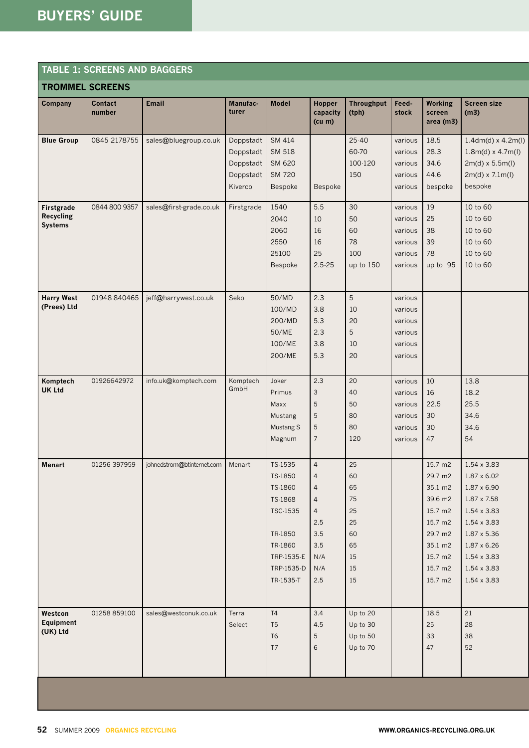#### **Table 1: screens and baggers**

|                                                  | <b>TROMMEL SCREENS</b>   |                            |                                                             |                                                                                                                     |                                                                                                                     |                                                                |                                                                |                                                                                                                       |                                                                                                                                                                                        |
|--------------------------------------------------|--------------------------|----------------------------|-------------------------------------------------------------|---------------------------------------------------------------------------------------------------------------------|---------------------------------------------------------------------------------------------------------------------|----------------------------------------------------------------|----------------------------------------------------------------|-----------------------------------------------------------------------------------------------------------------------|----------------------------------------------------------------------------------------------------------------------------------------------------------------------------------------|
| <b>Company</b>                                   | <b>Contact</b><br>number | <b>Email</b>               | Manufac-<br>turer                                           | <b>Model</b>                                                                                                        | Hopper<br>capacity<br>(cu m)                                                                                        | <b>Throughput</b><br>(tph)                                     | Feed-<br>stock                                                 | <b>Working</b><br>screen<br>area (m3)                                                                                 | <b>Screen size</b><br>(m3)                                                                                                                                                             |
| <b>Blue Group</b>                                | 0845 2178755             | sales@bluegroup.co.uk      | Doppstadt<br>Doppstadt<br>Doppstadt<br>Doppstadt<br>Kiverco | SM 414<br>SM 518<br>SM 620<br><b>SM 720</b><br>Bespoke                                                              | Bespoke                                                                                                             | $25 - 40$<br>60-70<br>100-120<br>150                           | various<br>various<br>various<br>various<br>various            | 18.5<br>28.3<br>34.6<br>44.6<br>bespoke                                                                               | $1.4dm(d) \times 4.2m(l)$<br>$1.8m(d) \times 4.7m(l)$<br>$2m(d) \times 5.5m(l)$<br>$2m(d) \times 7.1m(l)$<br>bespoke                                                                   |
| Firstgrade<br><b>Recycling</b><br><b>Systems</b> | 0844 800 9357            | sales@first-grade.co.uk    | Firstgrade                                                  | 1540<br>2040<br>2060<br>2550<br>25100<br>Bespoke                                                                    | 5.5<br>10<br>16<br>16<br>25<br>$2.5 - 25$                                                                           | 30<br>50<br>60<br>78<br>100<br>up to 150                       | various<br>various<br>various<br>various<br>various<br>various | 19<br>25<br>38<br>39<br>78<br>up to 95                                                                                | 10 to 60<br>10 to 60<br>10 to 60<br>10 to 60<br>10 to 60<br>10 to 60                                                                                                                   |
| <b>Harry West</b><br>(Prees) Ltd                 | 01948 840465             | jeff@harrywest.co.uk       | Seko                                                        | 50/MD<br>100/MD<br>200/MD<br>50/ME<br>100/ME<br>200/ME                                                              | 2.3<br>3.8<br>5.3<br>2.3<br>3.8<br>5.3                                                                              | $\sqrt{5}$<br>10<br>20<br>5<br>10<br>20                        | various<br>various<br>various<br>various<br>various<br>various |                                                                                                                       |                                                                                                                                                                                        |
| Komptech<br><b>UK Ltd</b>                        | 01926642972              | info.uk@komptech.com       | Komptech<br>GmbH                                            | Joker<br>Primus<br>Maxx<br>Mustang<br>Mustang S<br>Magnum                                                           | 2.3<br>3<br>5<br>$\sqrt{5}$<br>5<br>7                                                                               | 20<br>40<br>50<br>80<br>80<br>120                              | various<br>various<br>various<br>various<br>various<br>various | 10<br>16<br>22.5<br>30<br>30<br>47                                                                                    | 13.8<br>18.2<br>25.5<br>34.6<br>34.6<br>54                                                                                                                                             |
| <b>Menart</b>                                    | 01256 397959             | johnedstrom@btinternet.com | Menart                                                      | TS-1535<br>TS-1850<br>TS-1860<br>TS-1868<br>TSC-1535<br>TR-1850<br>TR-1860<br>TRP-1535-E<br>TRP-1535-D<br>TR-1535-T | $\overline{4}$<br>4<br>$\overline{4}$<br>$\overline{4}$<br>$\overline{4}$<br>2.5<br>3.5<br>3.5<br>N/A<br>N/A<br>2.5 | 25<br>60<br>65<br>75<br>25<br>25<br>60<br>65<br>15<br>15<br>15 |                                                                | 15.7 m2<br>29.7 m2<br>35.1 m2<br>39.6 m2<br>15.7 m2<br>15.7 m2<br>29.7 m2<br>35.1 m2<br>15.7 m2<br>15.7 m2<br>15.7 m2 | 1.54 x 3.83<br>1.87 x 6.02<br>1.87 x 6.90<br>1.87 x 7.58<br>1.54 x 3.83<br>1.54 x 3.83<br>1.87 x 5.36<br>1.87 x 6.26<br>$1.54 \times 3.83$<br>$1.54 \times 3.83$<br>$1.54 \times 3.83$ |
| Westcon<br>Equipment<br>(UK) Ltd                 | 01258 859100             | sales@westconuk.co.uk      | Terra<br>Select                                             | <b>T4</b><br>T <sub>5</sub><br>T <sub>6</sub><br>T7                                                                 | 3.4<br>4.5<br>5<br>6                                                                                                | Up to 20<br>Up to 30<br>Up to 50<br>Up to 70                   |                                                                | 18.5<br>25<br>33<br>47                                                                                                | 21<br>28<br>38<br>52                                                                                                                                                                   |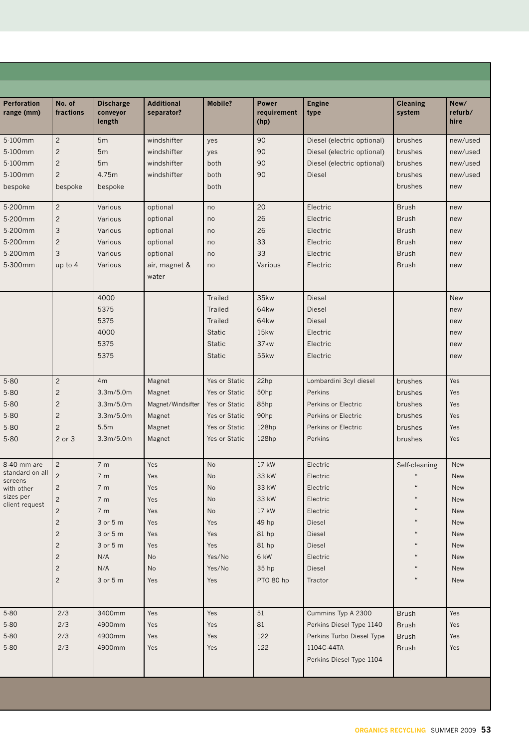| <b>Perforation</b><br>range (mm) | No. of<br>fractions | <b>Discharge</b><br>conveyor<br>length | <b>Additional</b><br>separator? | <b>Mobile?</b> | <b>Power</b><br>requirement<br>(hp) | <b>Engine</b><br>type      | <b>Cleaning</b><br>system | New/<br>refurb/<br>hire |
|----------------------------------|---------------------|----------------------------------------|---------------------------------|----------------|-------------------------------------|----------------------------|---------------------------|-------------------------|
| 5-100mm                          | $\overline{c}$      | 5 <sub>m</sub>                         | windshifter                     | yes            | 90                                  | Diesel (electric optional) | brushes                   | new/used                |
| 5-100mm                          | $\overline{2}$      | 5 <sub>m</sub>                         | windshifter                     | yes            | 90                                  | Diesel (electric optional) | brushes                   | new/used                |
| 5-100mm                          | $\overline{c}$      | 5m                                     | windshifter                     | both           | 90                                  | Diesel (electric optional) | brushes                   | new/used                |
| 5-100mm                          | $\overline{c}$      | 4.75m                                  | windshifter                     | both           | 90                                  | <b>Diesel</b>              | brushes                   | new/used                |
| bespoke                          | bespoke             | bespoke                                |                                 | both           |                                     |                            | brushes                   | new                     |
| 5-200mm                          | $\overline{c}$      | Various                                | optional                        | no             | 20                                  | Electric                   | <b>Brush</b>              | new                     |
| 5-200mm                          | $\overline{c}$      | Various                                | optional                        | no             | 26                                  | Electric                   | <b>Brush</b>              | new                     |
| 5-200mm                          | 3                   | Various                                | optional                        | no             | 26                                  | Electric                   | <b>Brush</b>              | new                     |
| 5-200mm                          | $\overline{c}$      | Various                                | optional                        | no             | 33                                  | Electric                   | <b>Brush</b>              | new                     |
| 5-200mm                          | 3                   | Various                                | optional                        | no             | 33                                  | Electric                   | <b>Brush</b>              | new                     |
| 5-300mm                          | up to $4$           | Various                                | air, magnet &                   | no             | Various                             | Electric                   | <b>Brush</b>              | new                     |
|                                  |                     |                                        | water                           |                |                                     |                            |                           |                         |
|                                  |                     | 4000                                   |                                 | Trailed        | 35kw                                | Diesel                     |                           | <b>New</b>              |
|                                  |                     | 5375                                   |                                 | <b>Trailed</b> | 64kw                                | <b>Diesel</b>              |                           | new                     |
|                                  |                     | 5375                                   |                                 | <b>Trailed</b> | 64kw                                | <b>Diesel</b>              |                           | new                     |
|                                  |                     | 4000                                   |                                 | <b>Static</b>  | 15 <sub>kw</sub>                    | Electric                   |                           | new                     |
|                                  |                     | 5375                                   |                                 | <b>Static</b>  | 37kw                                | Electric                   |                           | new                     |
|                                  |                     | 5375                                   |                                 | <b>Static</b>  | 55 <sub>kw</sub>                    | Electric                   |                           | new                     |
|                                  |                     |                                        |                                 |                |                                     |                            |                           |                         |
| $5 - 80$                         | $\overline{c}$      | 4 <sub>m</sub>                         | Magnet                          | Yes or Static  | 22hp                                | Lombardini 3cyl diesel     | brushes                   | Yes                     |
| $5 - 80$                         | $\overline{c}$      | 3.3m/5.0m                              | Magnet                          | Yes or Static  | 50hp                                | Perkins                    | brushes                   | Yes                     |
| $5 - 80$                         | $\overline{c}$      | 3.3m/5.0m                              | Magnet/Windsifter               | Yes or Static  | 85hp                                | Perkins or Electric        | brushes                   | Yes                     |
| $5 - 80$                         | $\overline{c}$      | 3.3m/5.0m                              | Magnet                          | Yes or Static  | 90hp                                | Perkins or Electric        | brushes                   | Yes                     |
| $5 - 80$                         | $\overline{c}$      | 5.5m                                   | Magnet                          | Yes or Static  | 128hp                               | Perkins or Electric        | brushes                   | Yes                     |
| $5 - 80$                         | 2 or 3              | 3.3m/5.0m                              | Magnet                          | Yes or Static  | 128hp                               | Perkins                    | brushes                   | Yes                     |
| 8-40 mm are                      | $\overline{c}$      | 7 <sub>m</sub>                         | Yes                             | No             | 17 kW                               | Electric                   | Self-cleaning             | New                     |
| standard on all                  | $\overline{c}$      | 7 <sub>m</sub>                         | Yes                             | No             | 33 kW                               | Electric                   |                           | New                     |
| screens<br>with other            | $\overline{c}$      | 7 <sub>m</sub>                         | Yes                             | No             | 33 kW                               | Electric                   |                           | New                     |
| sizes per                        | $\overline{c}$      | 7 <sub>m</sub>                         | Yes                             | <b>No</b>      | 33 kW                               | Electric                   |                           | New                     |
| client request                   | $\overline{c}$      | 7 <sub>m</sub>                         | Yes                             | <b>No</b>      | 17 kW                               | Electric                   |                           | New                     |
|                                  | $\overline{c}$      | 3 or 5 m                               | Yes                             | Yes            | 49 hp                               | Diesel                     | $\alpha$                  | New                     |
|                                  | $\overline{c}$      | 3 or 5 m                               | Yes                             | Yes            | 81 hp                               | <b>Diesel</b>              | $\alpha$                  | New                     |
|                                  | $\overline{c}$      | 3 or 5 m                               | Yes                             | Yes            | 81 hp                               | Diesel                     |                           | <b>New</b>              |
|                                  | $\overline{c}$      | N/A                                    | No                              | Yes/No         | 6 kW                                | Electric                   | $\alpha$                  | New                     |
|                                  | $\overline{c}$      | N/A                                    | No                              | Yes/No         | 35 hp                               | Diesel                     | $\epsilon$                | New                     |
|                                  | $\overline{c}$      | 3 or 5 m                               | Yes                             | Yes            | PTO 80 hp                           | Tractor                    |                           | New                     |
|                                  |                     |                                        |                                 |                |                                     |                            |                           |                         |
| $5 - 80$                         | 2/3                 | 3400mm                                 | Yes                             | Yes            | 51                                  | Cummins Typ A 2300         | <b>Brush</b>              | Yes                     |
| $5 - 80$                         | 2/3                 | 4900mm                                 | Yes                             | Yes            | 81                                  | Perkins Diesel Type 1140   | <b>Brush</b>              | Yes                     |
| $5-80$                           | 2/3                 | 4900mm                                 | Yes                             | Yes            | 122                                 | Perkins Turbo Diesel Type  | <b>Brush</b>              | Yes                     |
| $5 - 80$                         | 2/3                 | 4900mm                                 | Yes                             | Yes            | 122                                 | 1104C-44TA                 | <b>Brush</b>              | Yes                     |
|                                  |                     |                                        |                                 |                |                                     | Perkins Diesel Type 1104   |                           |                         |
|                                  |                     |                                        |                                 |                |                                     |                            |                           |                         |

m.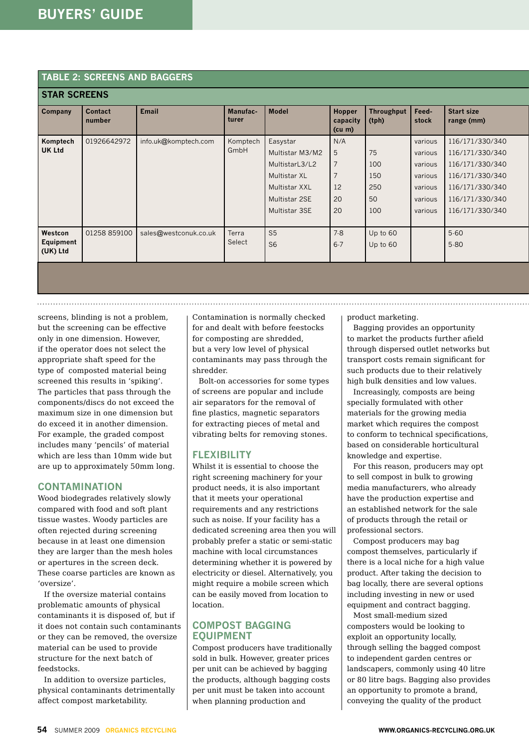#### **Table 2: screens and baggers**

| <b>STAR SCREENS</b>   |                          |                       |                          |                 |                                     |                            |                |                                 |
|-----------------------|--------------------------|-----------------------|--------------------------|-----------------|-------------------------------------|----------------------------|----------------|---------------------------------|
| <b>Company</b>        | <b>Contact</b><br>number | <b>Email</b>          | <b>Manufac-</b><br>turer | <b>Model</b>    | <b>Hopper</b><br>capacity<br>(cu m) | <b>Throughput</b><br>(tph) | Feed-<br>stock | <b>Start size</b><br>range (mm) |
| Komptech              | 01926642972              | info.uk@komptech.com  | Komptech                 | Easystar        | N/A                                 |                            | various        | 116/171/330/340                 |
| <b>UK Ltd</b>         |                          |                       | GmbH                     | Multistar M3/M2 | 5                                   | 75                         | various        | 116/171/330/340                 |
|                       |                          |                       |                          | MultistarL3/L2  | 7                                   | 100                        | various        | 116/171/330/340                 |
|                       |                          |                       |                          | Multistar XL    | 7                                   | 150                        | various        | 116/171/330/340                 |
|                       |                          |                       |                          | Multistar XXL   | 12                                  | 250                        | various        | 116/171/330/340                 |
|                       |                          |                       |                          | Multistar 2SE   | 20                                  | 50                         | various        | 116/171/330/340                 |
|                       |                          |                       |                          | Multistar 3SE   | 20                                  | 100                        | various        | 116/171/330/340                 |
|                       |                          |                       |                          |                 |                                     |                            |                |                                 |
| Westcon               | 01258 859100             | sales@westconuk.co.uk | Terra                    | S <sub>5</sub>  | 7.8                                 | Up to 60                   |                | $5 - 60$                        |
| Equipment<br>(UK) Ltd |                          |                       | Select                   | S <sub>6</sub>  | $6 - 7$                             | Up to 60                   |                | $5 - 80$                        |
|                       |                          |                       |                          |                 |                                     |                            |                |                                 |

screens, blinding is not a problem, but the screening can be effective only in one dimension. However, if the operator does not select the appropriate shaft speed for the type of composted material being screened this results in 'spiking'. The particles that pass through the components/discs do not exceed the maximum size in one dimension but do exceed it in another dimension. For example, the graded compost includes many 'pencils' of material which are less than 10mm wide but are up to approximately 50mm long.

#### **Contamination**

Wood biodegrades relatively slowly compared with food and soft plant tissue wastes. Woody particles are often rejected during screening because in at least one dimension they are larger than the mesh holes or apertures in the screen deck. These coarse particles are known as 'oversize'.

If the oversize material contains problematic amounts of physical contaminants it is disposed of, but if it does not contain such contaminants or they can be removed, the oversize material can be used to provide structure for the next batch of feedstocks.

In addition to oversize particles, physical contaminants detrimentally affect compost marketability.

Contamination is normally checked for and dealt with before feestocks for composting are shredded, but a very low level of physical contaminants may pass through the shredder.

Bolt-on accessories for some types of screens are popular and include air separators for the removal of fine plastics, magnetic separators for extracting pieces of metal and vibrating belts for removing stones.

#### **FI FXIBILITY**

Whilst it is essential to choose the right screening machinery for your product needs, it is also important that it meets your operational requirements and any restrictions such as noise. If your facility has a dedicated screening area then you will probably prefer a static or semi-static machine with local circumstances determining whether it is powered by electricity or diesel. Alternatively, you might require a mobile screen which can be easily moved from location to location.

#### **Compost bagging EQUIPMENT**

Compost producers have traditionally sold in bulk. However, greater prices per unit can be achieved by bagging the products, although bagging costs per unit must be taken into account when planning production and

product marketing.

Bagging provides an opportunity to market the products further afield through dispersed outlet networks but transport costs remain significant for such products due to their relatively high bulk densities and low values.

Increasingly, composts are being specially formulated with other materials for the growing media market which requires the compost to conform to technical specifications, based on considerable horticultural knowledge and expertise.

For this reason, producers may opt to sell compost in bulk to growing media manufacturers, who already have the production expertise and an established network for the sale of products through the retail or professional sectors.

Compost producers may bag compost themselves, particularly if there is a local niche for a high value product. After taking the decision to bag locally, there are several options including investing in new or used equipment and contract bagging.

Most small-medium sized composters would be looking to exploit an opportunity locally, through selling the bagged compost to independent garden centres or landscapers, commonly using 40 litre or 80 litre bags. Bagging also provides an opportunity to promote a brand, conveying the quality of the product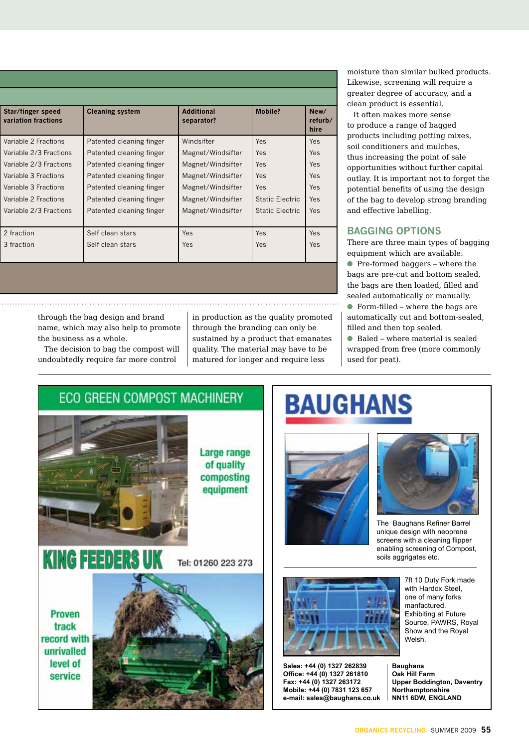| Star/finger speed<br>variation fractions | <b>Cleaning system</b>   | <b>Additional</b><br>separator? | <b>Mobile?</b>         | New/<br>refurb/<br>hire |
|------------------------------------------|--------------------------|---------------------------------|------------------------|-------------------------|
| Variable 2 Fractions                     | Patented cleaning finger | Windsifter                      | <b>Yes</b>             | <b>Yes</b>              |
| Variable 2/3 Fractions                   | Patented cleaning finger | Magnet/Windsifter               | Yes                    | <b>Yes</b>              |
| Variable 2/3 Fractions                   | Patented cleaning finger | Magnet/Windsifter               | <b>Yes</b>             | <b>Yes</b>              |
| Variable 3 Fractions                     | Patented cleaning finger | Magnet/Windsifter               | Yes                    | <b>Yes</b>              |
| Variable 3 Fractions                     | Patented cleaning finger | Magnet/Windsifter               | Yes                    | <b>Yes</b>              |
| Variable 2 Fractions                     | Patented cleaning finger | Magnet/Windsifter               | Static Electric        | <b>Yes</b>              |
| Variable 2/3 Fractions                   | Patented cleaning finger | Magnet/Windsifter               | <b>Static Electric</b> | <b>Yes</b>              |
| 2 fraction                               | Self clean stars         | Yes                             | Yes                    | <b>Yes</b>              |
| 3 fraction                               | Self clean stars         | Yes                             | Yes                    | <b>Yes</b>              |

moisture than similar bulked products. Likewise, screening will require a greater degree of accuracy, and a clean product is essential.

It often makes more sense to produce a range of bagged products including potting mixes, soil conditioners and mulches, thus increasing the point of sale opportunities without further capital outlay. It is important not to forget the potential benefits of using the design of the bag to develop strong branding and effective labelling.

#### **Bagging options**

There are three main types of bagging equipment which are available:  $\bullet$  Pre-formed baggers – where the bags are pre-cut and bottom sealed, the bags are then loaded, filled and sealed automatically or manually.  $\bullet$  Form-filled – where the bags are automatically cut and bottom-sealed, filled and then top sealed.

 $\bullet$  Baled – where material is sealed wrapped from free (more commonly used for peat).

through the bag design and brand name, which may also help to promote the business as a whole.

The decision to bag the compost will undoubtedly require far more control

in production as the quality promoted through the branding can only be sustained by a product that emanates quality. The material may have to be matured for longer and require less

**ECO GREEN COMPOST MACHINERY** 

Large range of quality composting equipment

Tel: 01260 223 273

**Proven** track record with unrivalled level of service

**KING FEEDERS** 



**BAUGHANS** 

**Sales: +44 (0) 1327 262839 Office: +44 (0) 1327 261810 Fax: +44 (0) 1327 263172 Mobile: +44 (0) 7831 123 657 e-mail: sales@baughans.co.uk** 

The Baughans Refiner Barrel unique design with neoprene screens with a cleaning flipper enabling screening of Compost,

soils aggrigates etc.

7ft 10 Duty Fork made with Hardox Steel. one of many forks manfactured. Exhibiting at Future Source, PAWRS, Royal Show and the Royal Welsh.

**Baughans Oak Hill Farm Upper Boddington, Daventry Northamptonshire NN11 6DW, ENGLAND**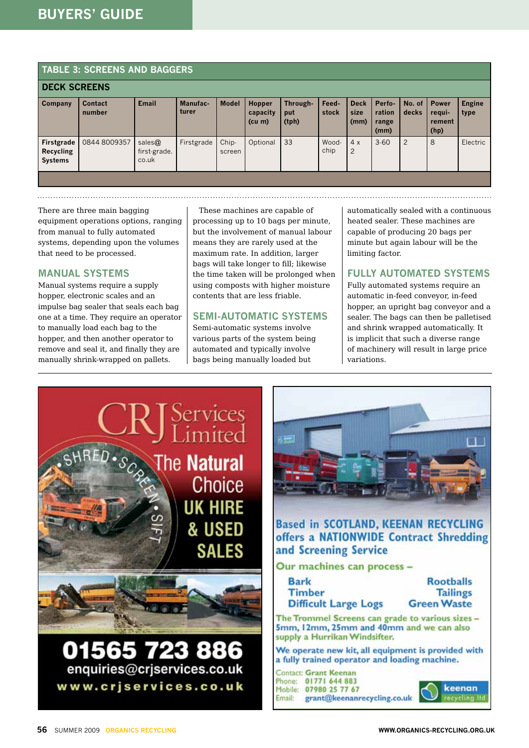#### **Table 3: screens and baggers**

| <b>DECK SCREENS</b>                              |                          |                                 |                   |                 |                                   |                          |                |                             |                                   |                 |                                          |                       |
|--------------------------------------------------|--------------------------|---------------------------------|-------------------|-----------------|-----------------------------------|--------------------------|----------------|-----------------------------|-----------------------------------|-----------------|------------------------------------------|-----------------------|
| <b>Company</b>                                   | <b>Contact</b><br>number | <b>Email</b>                    | Manufac-<br>turer | <b>Model</b>    | Hopper<br>capacity<br>$(cu \, m)$ | Through-<br>put<br>(tph) | Feed-<br>stock | <b>Deck</b><br>size<br>(mm) | Perfo-<br>ration<br>range<br>(mm) | No. of<br>decks | <b>Power</b><br>requi-<br>rement<br>(hp) | <b>Engine</b><br>type |
| Firstgrade<br><b>Recycling</b><br><b>Systems</b> | 0844 8009357             | sales@<br>first-grade.<br>co.uk | Firstgrade        | Chip-<br>screen | Optional                          | 33                       | Wood-<br>chip  | 4x<br>$\overline{2}$        | $3 - 60$                          | $\overline{c}$  | 8                                        | Electric              |
|                                                  |                          |                                 |                   |                 |                                   |                          |                |                             |                                   |                 |                                          |                       |

There are three main bagging equipment operations options, ranging from manual to fully automated systems, depending upon the volumes that need to be processed.

#### **Manual systems**

Manual systems require a supply hopper, electronic scales and an impulse bag sealer that seals each bag one at a time. They require an operator to manually load each bag to the hopper, and then another operator to remove and seal it, and finally they are manually shrink-wrapped on pallets.

These machines are capable of processing up to 10 bags per minute, but the involvement of manual labour means they are rarely used at the maximum rate. In addition, larger bags will take longer to fill; likewise the time taken will be prolonged when using composts with higher moisture contents that are less friable.

#### **Semi-automatic systems**

Semi-automatic systems involve various parts of the system being automated and typically involve bags being manually loaded but

automatically sealed with a continuous heated sealer. These machines are capable of producing 20 bags per minute but again labour will be the limiting factor.

#### **Fully automated systems**

Fully automated systems require an automatic in-feed conveyor, in-feed hopper, an upright bag conveyor and a sealer. The bags can then be palletised and shrink wrapped automatically. It is implicit that such a diverse range of machinery will result in large price variations.

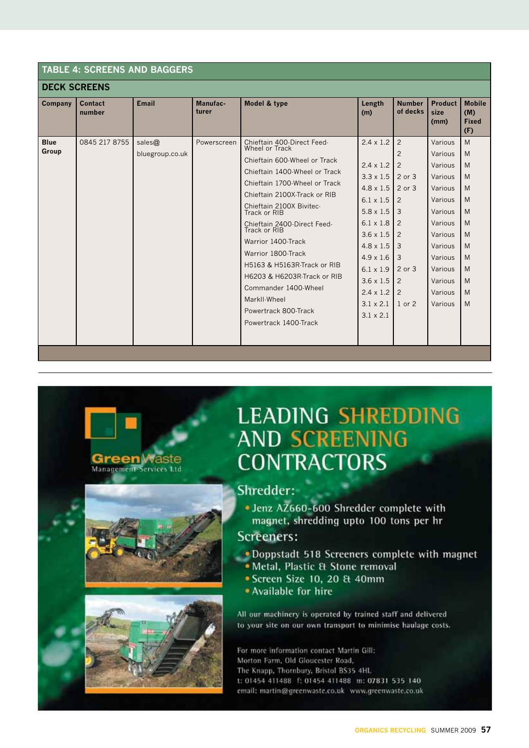| <b>DECK SCREENS</b><br><b>Mobile</b><br><b>Email</b><br>Model & type<br>Product<br>Contact<br>Manufac-<br><b>Number</b><br>Length<br>Company<br>of decks<br>number<br>turer<br>size<br>(M)<br>(m)<br><b>Fixed</b><br>(mm)<br>(F)<br>M<br>0845 217 8755<br>$2.4 \times 1.2$<br>$\overline{2}$<br>Various<br><b>Blue</b><br>sales@<br>Chieftain 400-Direct Feed-<br>Powerscreen<br>Wheel or Track<br>Group<br>$\overline{2}$<br>Various<br>M<br>bluegroup.co.uk<br>Chieftain 600-Wheel or Track<br>$2.4 \times 1.2$<br>$\overline{2}$<br>M<br>Various<br>Chieftain 1400-Wheel or Track<br>$3.3 \times 1.5$<br>M<br>2 or 3<br>Various<br>Chieftain 1700-Wheel or Track<br>$4.8 \times 1.5$<br>$2$ or $3$<br>Various<br>M<br>Chieftain 2100X-Track or RIB<br>$6.1 \times 1.5$<br>$\overline{2}$<br>Various<br>M<br>Chieftain 2100X Bivitec-<br>M<br>$5.8 \times 1.5$<br>3<br>Various<br>Track or RIB<br>$6.1 \times 1.8$<br>Various<br>2<br>M<br>Chieftain 2400-Direct Feed-<br>Track or RIB<br>$3.6 \times 1.5$<br>$\overline{2}$<br>Various<br>M<br>Warrior 1400-Track<br>M<br>$4.8 \times 1.5$<br>3<br>Various<br>Warrior 1800-Track<br>$4.9 \times 1.6$<br>3<br>Various<br>M<br>H5163 & H5163R-Track or RIB<br>$6.1 \times 1.9$<br>2 or 3<br>M<br>Various<br>H6203 & H6203R-Track or RIB<br>$3.6 \times 1.5$<br>$\overline{2}$<br>Various<br>M<br>Commander 1400-Wheel<br>$2.4 \times 1.2$<br>2<br>Various<br>M<br>MarkII-Wheel<br>$3.1 \times 2.1$<br>Various<br>M<br>$1$ or $2$<br>Powertrack 800-Track<br>$3.1 \times 2.1$<br>Powertrack 1400-Track | <b>TABLE 4: SCREENS AND BAGGERS</b> |  |  |  |  |  |  |  |  |  |
|--------------------------------------------------------------------------------------------------------------------------------------------------------------------------------------------------------------------------------------------------------------------------------------------------------------------------------------------------------------------------------------------------------------------------------------------------------------------------------------------------------------------------------------------------------------------------------------------------------------------------------------------------------------------------------------------------------------------------------------------------------------------------------------------------------------------------------------------------------------------------------------------------------------------------------------------------------------------------------------------------------------------------------------------------------------------------------------------------------------------------------------------------------------------------------------------------------------------------------------------------------------------------------------------------------------------------------------------------------------------------------------------------------------------------------------------------------------------------------------------------------------------------------------------------------|-------------------------------------|--|--|--|--|--|--|--|--|--|
|                                                                                                                                                                                                                                                                                                                                                                                                                                                                                                                                                                                                                                                                                                                                                                                                                                                                                                                                                                                                                                                                                                                                                                                                                                                                                                                                                                                                                                                                                                                                                        |                                     |  |  |  |  |  |  |  |  |  |
|                                                                                                                                                                                                                                                                                                                                                                                                                                                                                                                                                                                                                                                                                                                                                                                                                                                                                                                                                                                                                                                                                                                                                                                                                                                                                                                                                                                                                                                                                                                                                        |                                     |  |  |  |  |  |  |  |  |  |
|                                                                                                                                                                                                                                                                                                                                                                                                                                                                                                                                                                                                                                                                                                                                                                                                                                                                                                                                                                                                                                                                                                                                                                                                                                                                                                                                                                                                                                                                                                                                                        |                                     |  |  |  |  |  |  |  |  |  |

## **LEADING SHREDDING AND SCREENING CONTRACTORS**



**Green** Vvaste

· Jenz AZ660-600 Shredder complete with magnet, shredding upto 100 tons per hr

#### Screeners:

- Doppstadt 518 Screeners complete with magnet
	- · Metal, Plastic & Stone removal
	- · Screen Size 10, 20 & 40mm
	- Available for hire

All our machinery is operated by trained staff and delivered to your site on our own transport to minimise haulage costs.

For more information contact Martin Gill: Morton Farm, Old Gloucester Road, The Knapp, Thornbury, Bristol BS35 4HL t: 01454 411488 f: 01454 411488 m: 07831 535 140 email: martin@greenwaste.co.uk www.greenwaste.co.uk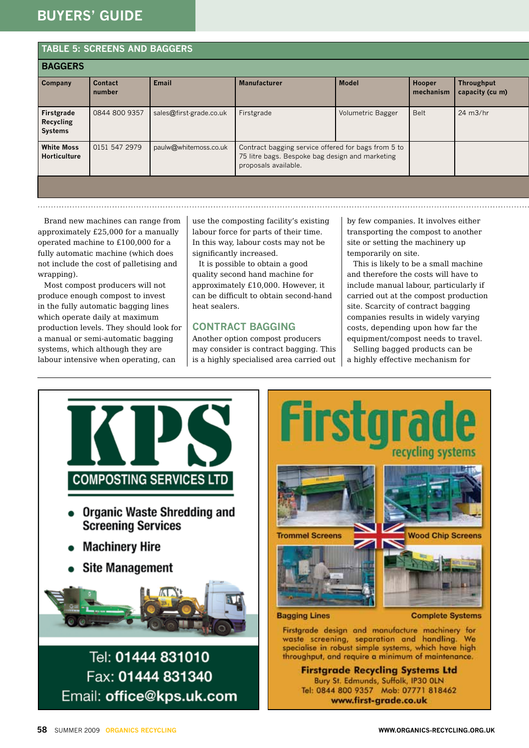### **buyers' guide**

**Table 5: screens and baggers**

|                                           | IADLE 3. SUREENS AND BAGGERS |                         |                                                                                                                                |                   |                     |                                      |  |  |
|-------------------------------------------|------------------------------|-------------------------|--------------------------------------------------------------------------------------------------------------------------------|-------------------|---------------------|--------------------------------------|--|--|
| <b>BAGGERS</b>                            |                              |                         |                                                                                                                                |                   |                     |                                      |  |  |
| <b>Company</b>                            | Contact<br>number            | <b>Email</b>            | <b>Manufacturer</b>                                                                                                            | <b>Model</b>      | Hooper<br>mechanism | <b>Throughput</b><br>capacity (cu m) |  |  |
| Firstgrade<br>Recycling<br><b>Systems</b> | 0844 800 9357                | sales@first-grade.co.uk | Firstgrade                                                                                                                     | Volumetric Bagger | <b>Belt</b>         | $24 \text{ m}3/hr$                   |  |  |
| <b>White Moss</b><br>Horticulture         | 0151 547 2979                | paulw@whitemoss.co.uk   | Contract bagging service offered for bags from 5 to<br>75 litre bags. Bespoke bag design and marketing<br>proposals available. |                   |                     |                                      |  |  |
|                                           |                              |                         |                                                                                                                                |                   |                     |                                      |  |  |
|                                           |                              |                         |                                                                                                                                |                   |                     |                                      |  |  |

Brand new machines can range from approximately £25,000 for a manually operated machine to £100,000 for a fully automatic machine (which does not include the cost of palletising and wrapping).

Most compost producers will not produce enough compost to invest in the fully automatic bagging lines which operate daily at maximum production levels. They should look for a manual or semi-automatic bagging systems, which although they are labour intensive when operating, can

use the composting facility's existing labour force for parts of their time. In this way, labour costs may not be significantly increased.

It is possible to obtain a good quality second hand machine for approximately £10,000. However, it can be difficult to obtain second-hand heat sealers.

#### **Contract bagging**

Another option compost producers may consider is contract bagging. This is a highly specialised area carried out by few companies. It involves either transporting the compost to another site or setting the machinery up temporarily on site.

This is likely to be a small machine and therefore the costs will have to include manual labour, particularly if carried out at the compost production site. Scarcity of contract bagging companies results in widely varying costs, depending upon how far the equipment/compost needs to travel. Selling bagged products can be

a highly effective mechanism for





specialise in robust simple systems, which have high throughput, and require a minimum of maintenance. **Firstarade Recycling Systems Ltd** Bury St. Edmunds, Suffolk, IP30 OLN

Tel: 0844 800 9357 Mob: 07771 818462 www.first-grade.co.uk